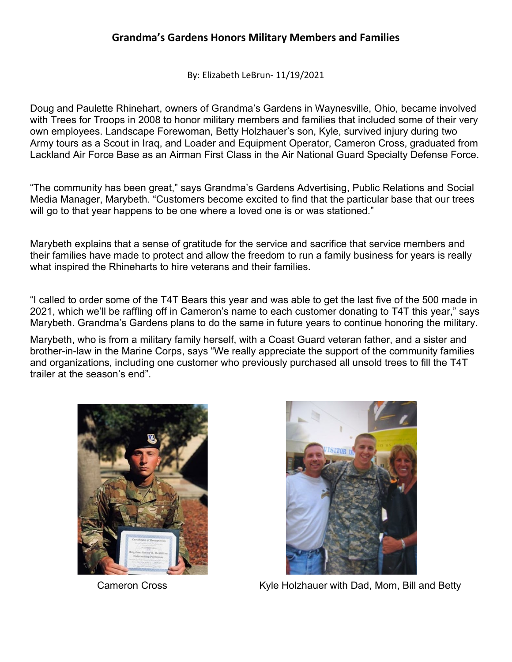By: Elizabeth LeBrun- 11/19/2021

Doug and Paulette Rhinehart, owners of Grandma's Gardens in Waynesville, Ohio, became involved with Trees for Troops in 2008 to honor military members and families that included some of their very own employees. Landscape Forewoman, Betty Holzhauer's son, Kyle, survived injury during two Army tours as a Scout in Iraq, and Loader and Equipment Operator, Cameron Cross, graduated from Lackland Air Force Base as an Airman First Class in the Air National Guard Specialty Defense Force.

"The community has been great," says Grandma's Gardens Advertising, Public Relations and Social Media Manager, Marybeth. "Customers become excited to find that the particular base that our trees will go to that year happens to be one where a loved one is or was stationed."

Marybeth explains that a sense of gratitude for the service and sacrifice that service members and their families have made to protect and allow the freedom to run a family business for years is really what inspired the Rhineharts to hire veterans and their families.

"I called to order some of the T4T Bears this year and was able to get the last five of the 500 made in 2021, which we'll be raffling off in Cameron's name to each customer donating to T4T this year," says Marybeth. Grandma's Gardens plans to do the same in future years to continue honoring the military.

Marybeth, who is from a military family herself, with a Coast Guard veteran father, and a sister and brother-in-law in the Marine Corps, says "We really appreciate the support of the community families and organizations, including one customer who previously purchased all unsold trees to fill the T4T trailer at the season's end".





Cameron Cross **Kyle Holzhauer with Dad, Mom, Bill and Betty**